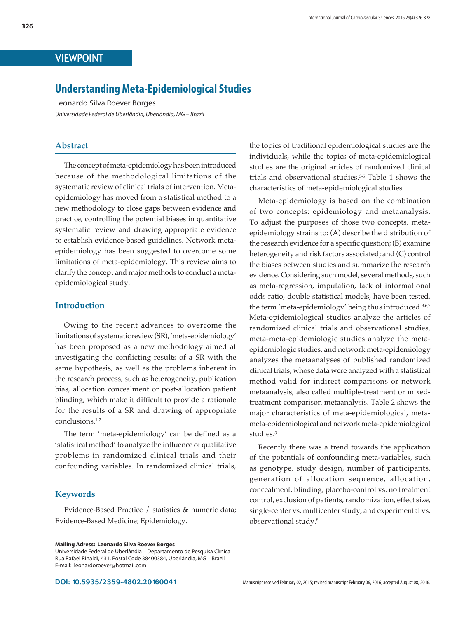# VIEWPOINT

# **Understanding Meta-Epidemiological Studies**

Leonardo Silva Roever Borges

*Universidade Federal de Uberlândia, Uberlândia, MG – Brazil*

### **Abstract**

The concept of meta-epidemiology has been introduced because of the methodological limitations of the systematic review of clinical trials of intervention. Metaepidemiology has moved from a statistical method to a new methodology to close gaps between evidence and practice, controlling the potential biases in quantitative systematic review and drawing appropriate evidence to establish evidence-based guidelines. Network metaepidemiology has been suggested to overcome some limitations of meta-epidemiology. This review aims to clarify the concept and major methods to conduct a metaepidemiological study.

### **Introduction**

Owing to the recent advances to overcome the limitations of systematic review (SR), 'meta-epidemiology' has been proposed as a new methodology aimed at investigating the conflicting results of a SR with the same hypothesis, as well as the problems inherent in the research process, such as heterogeneity, publication bias, allocation concealment or post-allocation patient blinding, which make it difficult to provide a rationale for the results of a SR and drawing of appropriate conclusions.1-2

The term 'meta-epidemiology' can be defined as a 'statistical method' to analyze the influence of qualitative problems in randomized clinical trials and their confounding variables. In randomized clinical trials,

### **Keywords**

Evidence-Based Practice / statistics & numeric data; Evidence-Based Medicine; Epidemiology.

the topics of traditional epidemiological studies are the individuals, while the topics of meta-epidemiological studies are the original articles of randomized clinical trials and observational studies.3-5 Table 1 shows the characteristics of meta-epidemiological studies.

Meta-epidemiology is based on the combination of two concepts: epidemiology and metaanalysis. To adjust the purposes of those two concepts, metaepidemiology strains to: (A) describe the distribution of the research evidence for a specific question; (B) examine heterogeneity and risk factors associated; and (C) control the biases between studies and summarize the research evidence. Considering such model, several methods, such as meta-regression, imputation, lack of informational odds ratio, double statistical models, have been tested, the term 'meta-epidemiology' being thus introduced.<sup>3,6,7</sup> Meta-epidemiological studies analyze the articles of randomized clinical trials and observational studies, meta-meta-epidemiologic studies analyze the metaepidemiologic studies, and network meta-epidemiology analyzes the metaanalyses of published randomized clinical trials, whose data were analyzed with a statistical method valid for indirect comparisons or network metaanalysis, also called multiple-treatment or mixedtreatment comparison metaanalysis. Table 2 shows the major characteristics of meta-epidemiological, metameta-epidemiological and network meta-epidemiological studies.3

Recently there was a trend towards the application of the potentials of confounding meta-variables, such as genotype, study design, number of participants, generation of allocation sequence, allocation, concealment, blinding, placebo-control vs. no treatment control, exclusion of patients, randomization, effect size, single-center vs. multicenter study, and experimental vs. observational study.8

**Mailing Adress: Leonardo Silva Roever Borges** Universidade Federal de Uberlândia – Departamento de Pesquisa Clínica Rua Rafael Rinaldi, 431. Postal Code 38400384, Uberlândia, MG – Brazil E-mail: leonardoroever@hotmail.com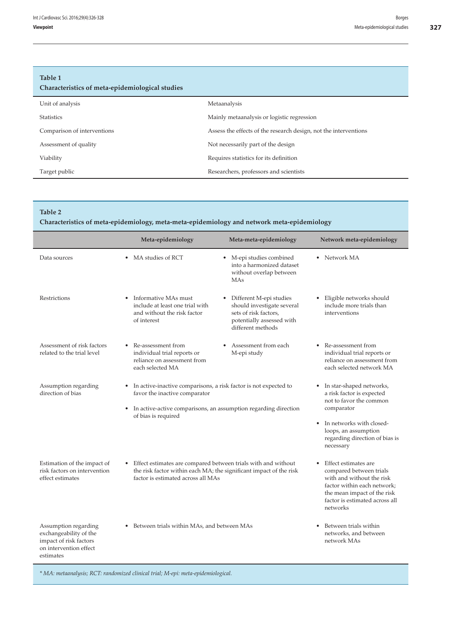# **Table 1**

| Table T<br>Characteristics of meta-epidemiological studies |                                                                  |
|------------------------------------------------------------|------------------------------------------------------------------|
| Unit of analysis                                           | Metaanalysis                                                     |
| <b>Statistics</b>                                          | Mainly metaanalysis or logistic regression                       |
| Comparison of interventions                                | Assess the effects of the research design, not the interventions |
| Assessment of quality                                      | Not necessarily part of the design                               |
| Viability                                                  | Requires statistics for its definition                           |
| Target public                                              | Researchers, professors and scientists                           |

#### **Table 2**

**Characteristics of meta-epidemiology, meta-meta-epidemiology and network meta-epidemiology**

|                                                                                                                 | Meta-epidemiology                                                                                                                                                                                             | Meta-meta-epidemiology                                                                                                             | Network meta-epidemiology                                                                                                                                                                             |
|-----------------------------------------------------------------------------------------------------------------|---------------------------------------------------------------------------------------------------------------------------------------------------------------------------------------------------------------|------------------------------------------------------------------------------------------------------------------------------------|-------------------------------------------------------------------------------------------------------------------------------------------------------------------------------------------------------|
| Data sources                                                                                                    | • MA studies of RCT                                                                                                                                                                                           | • M-epi studies combined<br>into a harmonized dataset<br>without overlap between<br>MAs                                            | • Network MA                                                                                                                                                                                          |
| <b>Restrictions</b>                                                                                             | Informative MAs must<br>$\bullet$<br>include at least one trial with<br>and without the risk factor<br>of interest                                                                                            | • Different M-epi studies<br>should investigate several<br>sets of risk factors,<br>potentially assessed with<br>different methods | • Eligible networks should<br>include more trials than<br>interventions                                                                                                                               |
| Assessment of risk factors<br>related to the trial level                                                        | Re-assessment from<br>individual trial reports or<br>reliance on assessment from<br>each selected MA                                                                                                          | Assessment from each<br>M-epi study                                                                                                | • Re-assessment from<br>individual trial reports or<br>reliance on assessment from<br>each selected network MA                                                                                        |
| Assumption regarding<br>direction of bias                                                                       | In active-inactive comparisons, a risk factor is not expected to<br>٠<br>favor the inactive comparator<br>In active-active comparisons, an assumption regarding direction<br>$\bullet$<br>of bias is required |                                                                                                                                    | • In star-shaped networks,<br>a risk factor is expected<br>not to favor the common<br>comparator<br>• In networks with closed-<br>loops, an assumption<br>regarding direction of bias is<br>necessary |
| Estimation of the impact of<br>risk factors on intervention<br>effect estimates                                 | Effect estimates are compared between trials with and without<br>$\bullet$<br>the risk factor within each MA; the significant impact of the risk<br>factor is estimated across all MAs                        |                                                                                                                                    | • Effect estimates are<br>compared between trials<br>with and without the risk<br>factor within each network;<br>the mean impact of the risk<br>factor is estimated across all<br>networks            |
| Assumption regarding<br>exchangeability of the<br>impact of risk factors<br>on intervention effect<br>estimates | Between trials within MAs, and between MAs<br>$\bullet$                                                                                                                                                       |                                                                                                                                    | Between trials within<br>networks, and between<br>network MAs                                                                                                                                         |

*\* MA: metaanalysis; RCT: randomized clinical trial; M-epi: meta-epidemiological.*